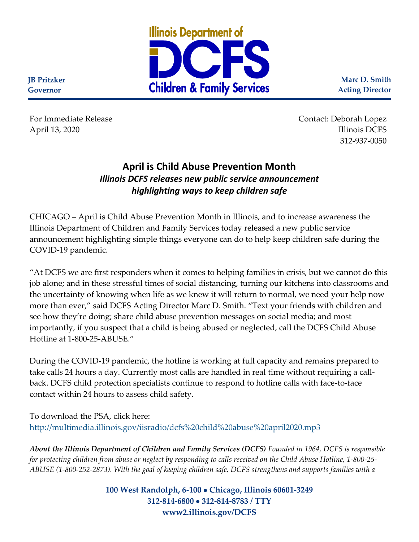

**Marc D. Smith Acting Director**

For Immediate Release **Contact:** Deborah Lopez April 13, 2020 Illinois DCFS 312-937-0050

## **April is Child Abuse Prevention Month** *Illinois DCFS releases new public service announcement highlighting ways to keep children safe*

CHICAGO – April is Child Abuse Prevention Month in Illinois, and to increase awareness the Illinois Department of Children and Family Services today released a new public service announcement highlighting simple things everyone can do to help keep children safe during the COVID-19 pandemic.

"At DCFS we are first responders when it comes to helping families in crisis, but we cannot do this job alone; and in these stressful times of social distancing, turning our kitchens into classrooms and the uncertainty of knowing when life as we knew it will return to normal, we need your help now more than ever," said DCFS Acting Director Marc D. Smith. "Text your friends with children and see how they're doing; share child abuse prevention messages on social media; and most importantly, if you suspect that a child is being abused or neglected, call the DCFS Child Abuse Hotline at 1-800-25-ABUSE."

During the COVID-19 pandemic, the hotline is working at full capacity and remains prepared to take calls 24 hours a day. Currently most calls are handled in real time without requiring a callback. DCFS child protection specialists continue to respond to hotline calls with face-to-face contact within 24 hours to assess child safety.

To download the PSA, click here: <http://multimedia.illinois.gov/iisradio/dcfs%20child%20abuse%20april2020.mp3>

*About the Illinois Department of Children and Family Services (DCFS) Founded in 1964, DCFS is responsible for protecting children from abuse or neglect by responding to calls received on the Child Abuse Hotline, 1-800-25- ABUSE (1-800-252-2873). With the goal of keeping children safe, DCFS strengthens and supports families with a* 

> **100 West Randolph, 6-100** • **Chicago, Illinois 60601-3249 312-814-6800** • **312-814-8783 / TTY www2.illinois.gov/DCFS**

**JB Pritzker Governor**